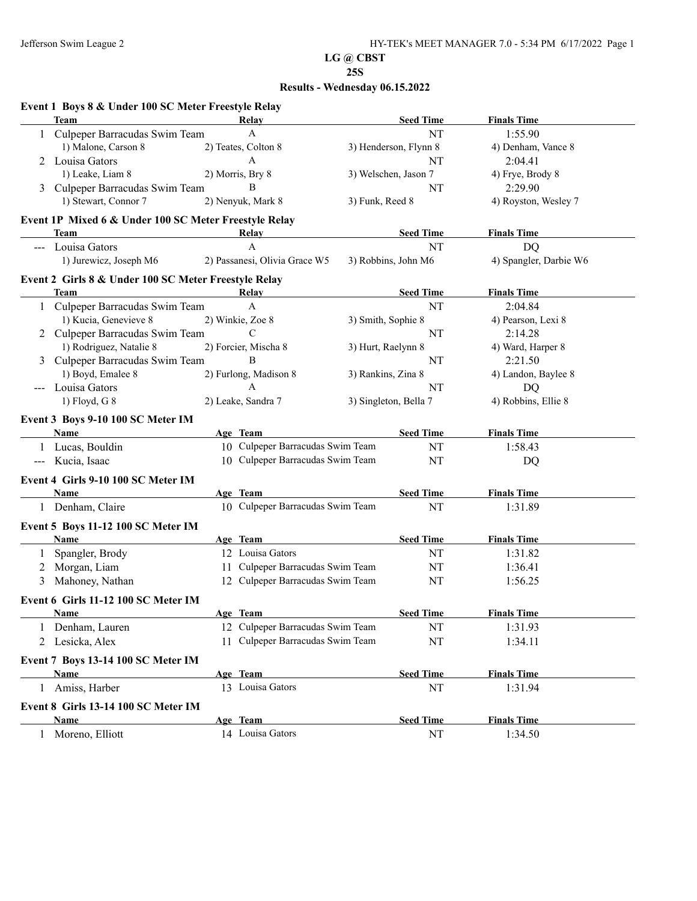|               | Event 1 Boys 8 & Under 100 SC Meter Freestyle Relay   |                                  |                       |                        |
|---------------|-------------------------------------------------------|----------------------------------|-----------------------|------------------------|
|               | <b>Team</b>                                           | Relay                            | <b>Seed Time</b>      | <b>Finals Time</b>     |
|               | Culpeper Barracudas Swim Team                         | A                                | NT                    | 1:55.90                |
|               | 1) Malone, Carson 8                                   | 2) Teates, Colton 8              | 3) Henderson, Flynn 8 | 4) Denham, Vance 8     |
| 2             | Louisa Gators                                         | A                                | NT                    | 2:04.41                |
|               | 1) Leake, Liam 8                                      | 2) Morris, Bry 8                 | 3) Welschen, Jason 7  | 4) Frye, Brody 8       |
|               | Culpeper Barracudas Swim Team                         | B                                | <b>NT</b>             | 2:29.90                |
|               | 1) Stewart, Connor 7                                  | 2) Nenyuk, Mark 8                | 3) Funk, Reed 8       | 4) Royston, Wesley 7   |
|               | Event 1P Mixed 6 & Under 100 SC Meter Freestyle Relay |                                  |                       |                        |
|               | Team                                                  | <b>Relay</b>                     | <b>Seed Time</b>      | <b>Finals Time</b>     |
| $\frac{1}{2}$ | Louisa Gators                                         | A                                | NT                    | <b>DQ</b>              |
|               | 1) Jurewicz, Joseph M6                                | 2) Passanesi, Olivia Grace W5    | 3) Robbins, John M6   | 4) Spangler, Darbie W6 |
|               | Event 2 Girls 8 & Under 100 SC Meter Freestyle Relay  |                                  |                       |                        |
|               | Team                                                  | <b>Relay</b>                     | <b>Seed Time</b>      | <b>Finals Time</b>     |
|               | 1 Culpeper Barracudas Swim Team                       | A                                | NT                    | 2:04.84                |
|               | 1) Kucia, Genevieve 8                                 | 2) Winkie, Zoe 8                 | 3) Smith, Sophie 8    | 4) Pearson, Lexi 8     |
|               | 2 Culpeper Barracudas Swim Team                       | $\mathcal{C}$                    | NT                    | 2:14.28                |
|               | 1) Rodriguez, Natalie 8                               | 2) Forcier, Mischa 8             | 3) Hurt, Raelynn 8    | 4) Ward, Harper 8      |
| 3             | Culpeper Barracudas Swim Team                         | B                                | NT                    | 2:21.50                |
|               | 1) Boyd, Emalee 8                                     | 2) Furlong, Madison 8            | 3) Rankins, Zina 8    | 4) Landon, Baylee 8    |
|               | Louisa Gators                                         | A                                | <b>NT</b>             | DQ                     |
|               | 1) Floyd, G 8                                         | 2) Leake, Sandra 7               | 3) Singleton, Bella 7 | 4) Robbins, Ellie 8    |
|               | Event 3 Boys 9-10 100 SC Meter IM                     |                                  |                       |                        |
|               | <b>Name</b>                                           | Age Team                         | <b>Seed Time</b>      | <b>Finals Time</b>     |
|               | 1 Lucas, Bouldin                                      | 10 Culpeper Barracudas Swim Team | NT                    | 1:58.43                |
| $---$         | Kucia, Isaac                                          | 10 Culpeper Barracudas Swim Team | NT                    | DQ                     |
|               |                                                       |                                  |                       |                        |
|               | Event 4 Girls 9-10 100 SC Meter IM                    |                                  |                       |                        |
|               | Name                                                  | Age Team                         | <b>Seed Time</b>      | <b>Finals Time</b>     |
|               | 1 Denham, Claire                                      | 10 Culpeper Barracudas Swim Team | NT                    | 1:31.89                |
|               | Event 5 Boys 11-12 100 SC Meter IM                    |                                  |                       |                        |
|               | Name                                                  | Age Team                         | <b>Seed Time</b>      | <b>Finals Time</b>     |
| 1             | Spangler, Brody                                       | 12 Louisa Gators                 | NT                    | 1:31.82                |
| 2             | Morgan, Liam                                          | 11 Culpeper Barracudas Swim Team | NT                    | 1:36.41                |
| 3             | Mahoney, Nathan                                       | 12 Culpeper Barracudas Swim Team | NT                    | 1:56.25                |
|               | Event 6 Girls 11-12 100 SC Meter IM                   |                                  |                       |                        |
|               | <b>Name</b>                                           | Age Team                         | <b>Seed Time</b>      | <b>Finals Time</b>     |
|               | 1 Denham, Lauren                                      | 12 Culpeper Barracudas Swim Team | NT                    | 1:31.93                |
|               | 2 Lesicka, Alex                                       | 11 Culpeper Barracudas Swim Team | NT                    | 1:34.11                |
|               | Event 7 Boys 13-14 100 SC Meter IM                    |                                  |                       |                        |
|               | <b>Name</b>                                           | Age Team                         | <b>Seed Time</b>      | <b>Finals Time</b>     |
|               | Amiss, Harber                                         | 13 Louisa Gators                 | NT                    | 1:31.94                |
|               | Event 8 Girls 13-14 100 SC Meter IM                   |                                  |                       |                        |
|               | Name                                                  | Age Team                         | <b>Seed Time</b>      | <b>Finals Time</b>     |
|               | 1 Moreno, Elliott                                     | 14 Louisa Gators                 | NT                    | 1:34.50                |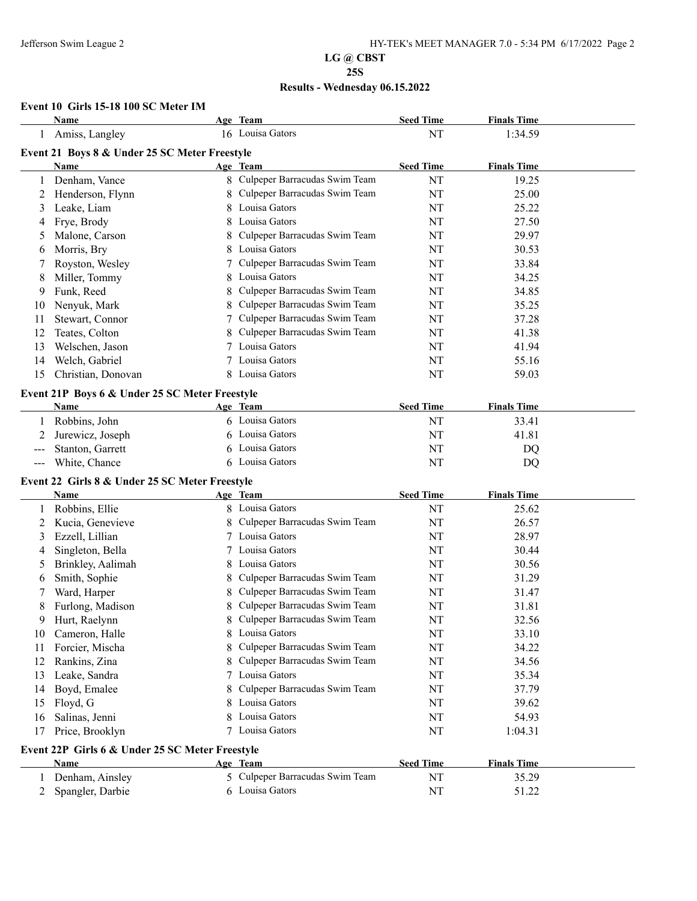## **Results - Wednesday 06.15.2022**

#### **Event 10 Girls 15-18 100 SC Meter IM**

|    | <b>Name</b>                                            |    | Age Team                        | <b>Seed Time</b> | <b>Finals Time</b> |  |
|----|--------------------------------------------------------|----|---------------------------------|------------------|--------------------|--|
|    | Amiss, Langley                                         |    | 16 Louisa Gators                | NT               | 1:34.59            |  |
|    | Event 21 Boys 8 & Under 25 SC Meter Freestyle          |    |                                 |                  |                    |  |
|    | Name                                                   |    | Age Team                        | <b>Seed Time</b> | <b>Finals Time</b> |  |
| 1  | Denham, Vance                                          |    | 8 Culpeper Barracudas Swim Team | NT               | 19.25              |  |
| 2  | Henderson, Flynn                                       |    | 8 Culpeper Barracudas Swim Team | NT               | 25.00              |  |
| 3  | Leake, Liam                                            | 8. | Louisa Gators                   | NT               | 25.22              |  |
| 4  | Frye, Brody                                            | 8  | Louisa Gators                   | NT               | 27.50              |  |
| 5  | Malone, Carson                                         | 8  | Culpeper Barracudas Swim Team   | NT               | 29.97              |  |
| 6  | Morris, Bry                                            | 8  | Louisa Gators                   | NT               | 30.53              |  |
| 7  | Royston, Wesley                                        |    | Culpeper Barracudas Swim Team   | NT               | 33.84              |  |
| 8  | Miller, Tommy                                          | 8  | Louisa Gators                   | NT               | 34.25              |  |
| 9  | Funk, Reed                                             | 8  | Culpeper Barracudas Swim Team   | NT               | 34.85              |  |
| 10 | Nenyuk, Mark                                           | 8  | Culpeper Barracudas Swim Team   | NT               | 35.25              |  |
| 11 | Stewart, Connor                                        |    | 7 Culpeper Barracudas Swim Team | NT               | 37.28              |  |
| 12 | Teates, Colton                                         |    | Culpeper Barracudas Swim Team   | NT               | 41.38              |  |
| 13 | Welschen, Jason                                        |    | 7 Louisa Gators                 | NT               | 41.94              |  |
| 14 | Welch, Gabriel                                         |    | 7 Louisa Gators                 | NT               | 55.16              |  |
| 15 | Christian, Donovan                                     |    | 8 Louisa Gators                 | NT               | 59.03              |  |
|    |                                                        |    |                                 |                  |                    |  |
|    | Event 21P Boys 6 & Under 25 SC Meter Freestyle<br>Name |    | Age Team                        | <b>Seed Time</b> | <b>Finals Time</b> |  |
|    |                                                        |    | 6 Louisa Gators                 | NT               | 33.41              |  |
|    | Robbins, John                                          |    | 6 Louisa Gators                 |                  |                    |  |
| 2  | Jurewicz, Joseph                                       |    | 6 Louisa Gators                 | NT               | 41.81              |  |
|    | Stanton, Garrett                                       |    | 6 Louisa Gators                 | NT               | DQ                 |  |
|    | White, Chance                                          |    |                                 | NT               | DQ                 |  |
|    | Event 22 Girls 8 & Under 25 SC Meter Freestyle         |    |                                 |                  |                    |  |
|    | Name                                                   |    | Age Team                        | <b>Seed Time</b> | <b>Finals Time</b> |  |
| 1  | Robbins, Ellie                                         |    | 8 Louisa Gators                 | NT               | 25.62              |  |
| 2  | Kucia, Genevieve                                       |    | 8 Culpeper Barracudas Swim Team | NT               | 26.57              |  |
| 3  | Ezzell, Lillian                                        |    | 7 Louisa Gators                 | NT               | 28.97              |  |
| 4  | Singleton, Bella                                       |    | Louisa Gators                   | NT               | 30.44              |  |
| 5  | Brinkley, Aalimah                                      | 8  | Louisa Gators                   | NT               | 30.56              |  |
| 6  | Smith, Sophie                                          | 8  | Culpeper Barracudas Swim Team   | NT               | 31.29              |  |
|    | Ward, Harper                                           | 8  | Culpeper Barracudas Swim Team   | NT               | 31.47              |  |
| 8  | Furlong, Madison                                       |    | Culpeper Barracudas Swim Team   | NT               | 31.81              |  |
| 9  | Hurt, Raelynn                                          | 8  | Culpeper Barracudas Swim Team   | NT               | 32.56              |  |
| 10 | Cameron, Halle                                         |    | 8 Louisa Gators                 | NT               | 33.10              |  |
| 11 | Forcier, Mischa                                        | 8  | Culpeper Barracudas Swim Team   | NT               | 34.22              |  |
| 12 | Rankins, Zina                                          | 8  | Culpeper Barracudas Swim Team   | NT               | 34.56              |  |
| 13 | Leake, Sandra                                          |    | 7 Louisa Gators                 | NT               | 35.34              |  |
| 14 | Boyd, Emalee                                           |    | Culpeper Barracudas Swim Team   | NT               | 37.79              |  |
| 15 | Floyd, G                                               |    | Louisa Gators                   | NT               | 39.62              |  |
| 16 | Salinas, Jenni                                         |    | Louisa Gators                   | NT               | 54.93              |  |
| 17 | Price, Brooklyn                                        |    | 7 Louisa Gators                 | NT               | 1:04.31            |  |
|    | Event 22P Girls 6 & Under 25 SC Meter Freestyle        |    |                                 |                  |                    |  |
|    | Name                                                   |    | Age Team                        | <b>Seed Time</b> | <b>Finals Time</b> |  |
|    | Denham, Ainsley                                        |    | 5 Culpeper Barracudas Swim Team | NT               | 35.29              |  |
| 2  | Spangler, Darbie                                       |    | 6 Louisa Gators                 | NT               | 51.22              |  |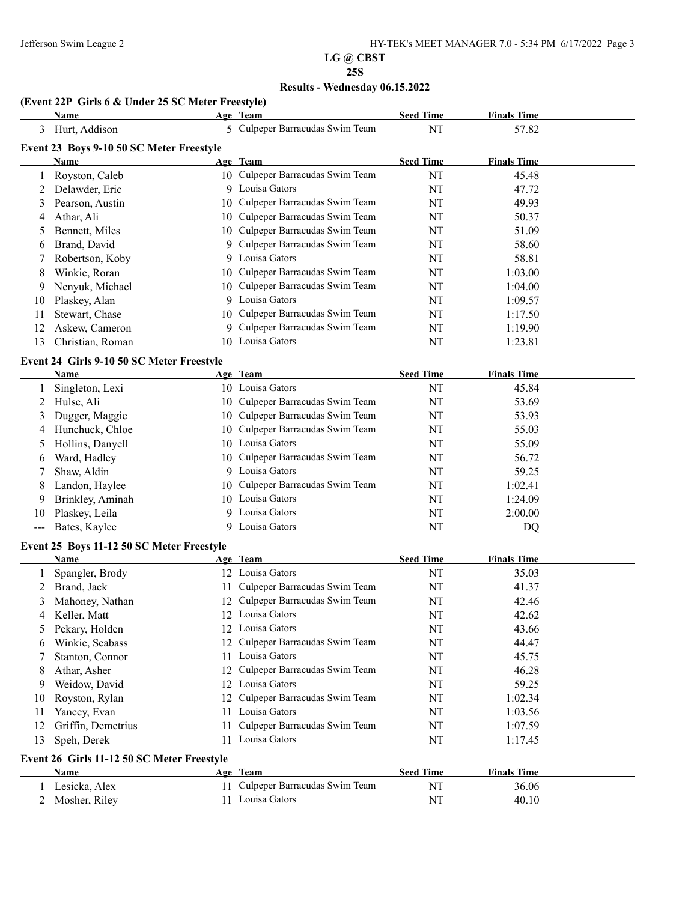#### **Results - Wednesday 06.15.2022**

#### **(Event 22P Girls 6 & Under 25 SC Meter Freestyle)**

**Event 26 Girls 11-12 50 SC Meter Freestyle**

|                       | Name                                      |    | Age Team                         | <b>Seed Time</b> | <b>Finals Time</b> |  |
|-----------------------|-------------------------------------------|----|----------------------------------|------------------|--------------------|--|
| 3                     | Hurt, Addison                             |    | 5 Culpeper Barracudas Swim Team  | NT               | 57.82              |  |
|                       | Event 23 Boys 9-10 50 SC Meter Freestyle  |    |                                  |                  |                    |  |
|                       | Name                                      |    | Age Team                         | <b>Seed Time</b> | <b>Finals Time</b> |  |
| 1                     | Royston, Caleb                            |    | 10 Culpeper Barracudas Swim Team | NT               | 45.48              |  |
| 2                     | Delawder, Eric                            |    | 9 Louisa Gators                  | NT               | 47.72              |  |
| 3                     | Pearson, Austin                           |    | 10 Culpeper Barracudas Swim Team | NT               | 49.93              |  |
| 4                     | Athar, Ali                                | 10 | Culpeper Barracudas Swim Team    | NT               | 50.37              |  |
| 5                     | Bennett, Miles                            |    | 10 Culpeper Barracudas Swim Team | NT               | 51.09              |  |
| 6                     | Brand, David                              |    | 9 Culpeper Barracudas Swim Team  | NT               | 58.60              |  |
| 7                     | Robertson, Koby                           |    | 9 Louisa Gators                  | NT               | 58.81              |  |
| 8                     | Winkie, Roran                             | 10 | Culpeper Barracudas Swim Team    | NT               | 1:03.00            |  |
| 9                     | Nenyuk, Michael                           | 10 | Culpeper Barracudas Swim Team    | NT               | 1:04.00            |  |
| 10                    | Plaskey, Alan                             |    | 9 Louisa Gators                  | NT               | 1:09.57            |  |
| 11                    | Stewart, Chase                            |    | 10 Culpeper Barracudas Swim Team | NT               | 1:17.50            |  |
| 12                    | Askew, Cameron                            |    | 9 Culpeper Barracudas Swim Team  | NT               | 1:19.90            |  |
| 13                    | Christian, Roman                          |    | 10 Louisa Gators                 | NT               | 1:23.81            |  |
|                       | Event 24 Girls 9-10 50 SC Meter Freestyle |    |                                  |                  |                    |  |
|                       | Name                                      |    | Age Team                         | <b>Seed Time</b> | <b>Finals Time</b> |  |
| 1                     | Singleton, Lexi                           |    | 10 Louisa Gators                 | <b>NT</b>        | 45.84              |  |
| $\overline{c}$        | Hulse, Ali                                |    | 10 Culpeper Barracudas Swim Team | NT               | 53.69              |  |
| 3                     | Dugger, Maggie                            |    | 10 Culpeper Barracudas Swim Team | NT               | 53.93              |  |
| 4                     | Hunchuck, Chloe                           | 10 | Culpeper Barracudas Swim Team    | NT               | 55.03              |  |
| 5                     | Hollins, Danyell                          |    | 10 Louisa Gators                 | NT               | 55.09              |  |
| 6                     | Ward, Hadley                              | 10 | Culpeper Barracudas Swim Team    | NT               | 56.72              |  |
| 7                     | Shaw, Aldin                               |    | 9 Louisa Gators                  | NT               | 59.25              |  |
| 8                     | Landon, Haylee                            | 10 | Culpeper Barracudas Swim Team    | NT               | 1:02.41            |  |
| 9                     | Brinkley, Aminah                          |    | 10 Louisa Gators                 | NT               | 1:24.09            |  |
| 10                    | Plaskey, Leila                            |    | 9 Louisa Gators                  | NT               | 2:00.00            |  |
| $\scriptstyle \cdots$ | Bates, Kaylee                             |    | 9 Louisa Gators                  | NT               | DQ                 |  |
|                       | Event 25 Boys 11-12 50 SC Meter Freestyle |    |                                  |                  |                    |  |
|                       | Name                                      |    | Age Team                         | <b>Seed Time</b> | <b>Finals Time</b> |  |
| 1                     | Spangler, Brody                           |    | 12 Louisa Gators                 | NT               | 35.03              |  |
| 2                     | Brand, Jack                               |    | 11 Culpeper Barracudas Swim Team | NT               | 41.37              |  |
| 3                     | Mahoney, Nathan                           |    | 12 Culpeper Barracudas Swim Team | NT               | 42.46              |  |
| 4                     | Keller, Matt                              |    | 12 Louisa Gators                 | NT               | 42.62              |  |
| 5                     | Pekary, Holden                            |    | 12 Louisa Gators                 | NT               | 43.66              |  |
| 6                     | Winkie, Seabass                           | 12 | Culpeper Barracudas Swim Team    | NT               | 44.47              |  |
| 7                     | Stanton, Connor                           |    | 11 Louisa Gators                 | NT               | 45.75              |  |
| 8                     | Athar, Asher                              |    | 12 Culpeper Barracudas Swim Team | <b>NT</b>        | 46.28              |  |
| 9                     | Weidow, David                             |    | 12 Louisa Gators                 | <b>NT</b>        | 59.25              |  |

10 Royston, Rylan 12 Culpeper Barracudas Swim Team NT 1:02.34 11 Yancey, Evan 11 2013 11 2013 Gators 11 2013 11 2013 11 203.56 12 Griffin, Demetrius 11 Culpeper Barracudas Swim Team NT 1:07.59 13 Speh, Derek 11 Louisa Gators NT 1:17.45

**Name Age Team Seed Time Finals Time** Lesicka, Alex 11 Culpeper Barracudas Swim Team NT 36.06 2 Mosher, Riley 11 Louisa Gators NT 40.10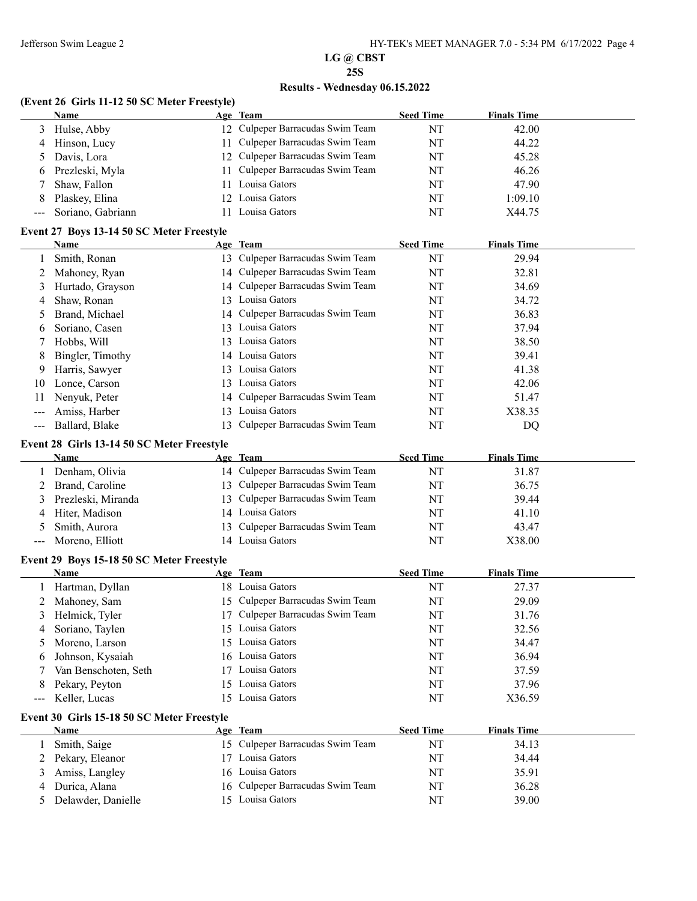## **Results - Wednesday 06.15.2022**

#### **(Event 26 Girls 11-12 50 SC Meter Freestyle)**

|                                                                                                                                                                   | Name                                               |     | Age Team                         | <b>Seed Time</b> | <b>Finals Time</b> |  |
|-------------------------------------------------------------------------------------------------------------------------------------------------------------------|----------------------------------------------------|-----|----------------------------------|------------------|--------------------|--|
| 3                                                                                                                                                                 | Hulse, Abby                                        |     | 12 Culpeper Barracudas Swim Team | NT               | 42.00              |  |
| 4                                                                                                                                                                 | Hinson, Lucy                                       |     | 11 Culpeper Barracudas Swim Team | NT               | 44.22              |  |
| 5                                                                                                                                                                 | Davis, Lora                                        |     | 12 Culpeper Barracudas Swim Team | NT               | 45.28              |  |
| 6                                                                                                                                                                 | Prezleski, Myla                                    | 11. | Culpeper Barracudas Swim Team    | NT               | 46.26              |  |
|                                                                                                                                                                   | Shaw, Fallon                                       |     | 11 Louisa Gators                 | NT               | 47.90              |  |
| 8                                                                                                                                                                 | Plaskey, Elina                                     |     | 12 Louisa Gators                 | NT               | 1:09.10            |  |
| $\qquad \qquad \textbf{---} \textbf{---}$                                                                                                                         | Soriano, Gabriann                                  | 11  | Louisa Gators                    | NT               | X44.75             |  |
|                                                                                                                                                                   | Event 27 Boys 13-14 50 SC Meter Freestyle          |     |                                  |                  |                    |  |
|                                                                                                                                                                   | Name                                               |     | Age Team                         | <b>Seed Time</b> | <b>Finals Time</b> |  |
|                                                                                                                                                                   | Smith, Ronan                                       |     | 13 Culpeper Barracudas Swim Team | NT               | 29.94              |  |
| 2                                                                                                                                                                 | Mahoney, Ryan                                      |     | 14 Culpeper Barracudas Swim Team | NT               | 32.81              |  |
| 3                                                                                                                                                                 | Hurtado, Grayson                                   |     | 14 Culpeper Barracudas Swim Team | NT               | 34.69              |  |
| 4                                                                                                                                                                 | Shaw, Ronan                                        |     | 13 Louisa Gators                 | NT               | 34.72              |  |
| 5                                                                                                                                                                 | Brand, Michael                                     |     | 14 Culpeper Barracudas Swim Team | NT               | 36.83              |  |
| 6                                                                                                                                                                 | Soriano, Casen                                     |     | 13 Louisa Gators                 | NT               | 37.94              |  |
| 7                                                                                                                                                                 | Hobbs, Will                                        |     | 13 Louisa Gators                 | NT               | 38.50              |  |
| 8                                                                                                                                                                 | Bingler, Timothy                                   |     | 14 Louisa Gators                 | NT               | 39.41              |  |
| 9                                                                                                                                                                 | Harris, Sawyer                                     |     | 13 Louisa Gators                 | NT               | 41.38              |  |
| 10                                                                                                                                                                | Lonce, Carson                                      |     | 13 Louisa Gators                 | NT               | 42.06              |  |
| 11                                                                                                                                                                | Nenyuk, Peter                                      | 14  | Culpeper Barracudas Swim Team    | NT               | 51.47              |  |
|                                                                                                                                                                   | Amiss, Harber                                      | 13  | Louisa Gators                    | NT               | X38.35             |  |
| $\hspace{0.05cm} \hspace{0.02cm} \hspace{0.02cm} \hspace{0.02cm} \hspace{0.02cm} \hspace{0.02cm} \hspace{0.02cm} \hspace{0.02cm} \hspace{0.02cm} \hspace{0.02cm}$ | Ballard, Blake                                     | 13  | Culpeper Barracudas Swim Team    | NT               | DQ                 |  |
|                                                                                                                                                                   | Event 28 Girls 13-14 50 SC Meter Freestyle         |     |                                  |                  |                    |  |
|                                                                                                                                                                   | Name                                               |     | Age Team                         | <b>Seed Time</b> | <b>Finals Time</b> |  |
|                                                                                                                                                                   | Denham, Olivia                                     |     | 14 Culpeper Barracudas Swim Team | NT               | 31.87              |  |
| 2                                                                                                                                                                 | Brand, Caroline                                    |     | 13 Culpeper Barracudas Swim Team | NT               | 36.75              |  |
| 3                                                                                                                                                                 | Prezleski, Miranda                                 | 13  | Culpeper Barracudas Swim Team    | NT               | 39.44              |  |
| 4                                                                                                                                                                 | Hiter, Madison                                     |     | 14 Louisa Gators                 | NT               | 41.10              |  |
| 5                                                                                                                                                                 | Smith, Aurora                                      | 13  | Culpeper Barracudas Swim Team    | NT               | 43.47              |  |
| $\qquad \qquad - \qquad -$                                                                                                                                        | Moreno, Elliott                                    |     | 14 Louisa Gators                 | NT               | X38.00             |  |
|                                                                                                                                                                   | Event 29 Boys 15-18 50 SC Meter Freestyle          |     |                                  |                  |                    |  |
|                                                                                                                                                                   | Name                                               |     | Age Team                         | <b>Seed Time</b> | <b>Finals Time</b> |  |
|                                                                                                                                                                   | Hartman, Dyllan                                    |     | 18 Louisa Gators                 | NT               | 27.37              |  |
| 2                                                                                                                                                                 | Mahoney, Sam                                       |     | 15 Culpeper Barracudas Swim Team | NT               | 29.09              |  |
| 3                                                                                                                                                                 | Helmick, Tyler                                     |     | 17 Culpeper Barracudas Swim Team | NT               | 31.76              |  |
| 4                                                                                                                                                                 | Soriano, Taylen                                    |     | 15 Louisa Gators                 | NT               | 32.56              |  |
| 5                                                                                                                                                                 | Moreno, Larson                                     |     | 15 Louisa Gators                 | NT               | 34.47              |  |
| 6                                                                                                                                                                 | Johnson, Kysaiah                                   |     | 16 Louisa Gators                 | NT               | 36.94              |  |
|                                                                                                                                                                   | Van Benschoten, Seth                               |     | 17 Louisa Gators                 | NT               | 37.59              |  |
| 8                                                                                                                                                                 | Pekary, Peyton                                     |     | 15 Louisa Gators                 | NT               | 37.96              |  |
| $\hspace{0.05cm} \ldots \hspace{0.05cm}$                                                                                                                          | Keller, Lucas                                      |     | 15 Louisa Gators                 | NT               | X36.59             |  |
|                                                                                                                                                                   |                                                    |     |                                  |                  |                    |  |
|                                                                                                                                                                   | Event 30 Girls 15-18 50 SC Meter Freestyle<br>Name |     | Age Team                         | <b>Seed Time</b> | <b>Finals Time</b> |  |
| 1                                                                                                                                                                 | Smith, Saige                                       |     | 15 Culpeper Barracudas Swim Team | NT               | 34.13              |  |
| 2                                                                                                                                                                 | Pekary, Eleanor                                    |     | 17 Louisa Gators                 | NT               | 34.44              |  |
| 3                                                                                                                                                                 | Amiss, Langley                                     |     | 16 Louisa Gators                 | NT               | 35.91              |  |
| 4                                                                                                                                                                 | Durica, Alana                                      |     | 16 Culpeper Barracudas Swim Team | NT               | 36.28              |  |
| 5                                                                                                                                                                 | Delawder, Danielle                                 |     | 15 Louisa Gators                 | NT               | 39.00              |  |
|                                                                                                                                                                   |                                                    |     |                                  |                  |                    |  |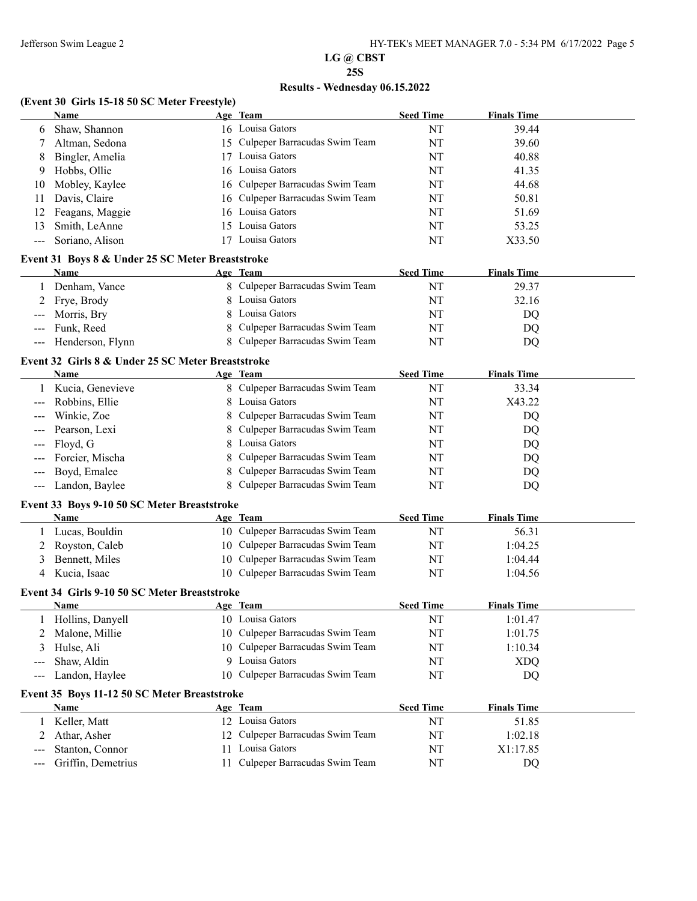# **LG @ CBST**

## **25S**

# **Results - Wednesday 06.15.2022**

## **(Event 30 Girls 15-18 50 SC Meter Freestyle)**

|                                     | <b>Name</b>                                               |    | Age Team                                    | <b>Seed Time</b> | <b>Finals Time</b> |  |
|-------------------------------------|-----------------------------------------------------------|----|---------------------------------------------|------------------|--------------------|--|
| 6                                   | Shaw, Shannon                                             |    | 16 Louisa Gators                            | NT               | 39.44              |  |
| 7                                   | Altman, Sedona                                            |    | 15 Culpeper Barracudas Swim Team            | NT               | 39.60              |  |
| 8                                   | Bingler, Amelia                                           | 17 | Louisa Gators                               | NT               | 40.88              |  |
| 9                                   | Hobbs, Ollie                                              |    | 16 Louisa Gators                            | NT               | 41.35              |  |
| 10                                  | Mobley, Kaylee                                            | 16 | Culpeper Barracudas Swim Team               | NT               | 44.68              |  |
| 11                                  | Davis, Claire                                             | 16 | Culpeper Barracudas Swim Team               | NT               | 50.81              |  |
| 12                                  | Feagans, Maggie                                           | 16 | Louisa Gators                               | NT               | 51.69              |  |
| 13                                  | Smith, LeAnne                                             | 15 | Louisa Gators                               | NT               | 53.25              |  |
| ---                                 | Soriano, Alison                                           |    | 17 Louisa Gators                            | NT               | X33.50             |  |
|                                     | Event 31 Boys 8 & Under 25 SC Meter Breaststroke          |    |                                             |                  |                    |  |
|                                     | Name                                                      |    | Age Team                                    | <b>Seed Time</b> | <b>Finals Time</b> |  |
| 1                                   | Denham, Vance                                             |    | 8 Culpeper Barracudas Swim Team             | NT               | 29.37              |  |
| 2                                   | Frye, Brody                                               |    | 8 Louisa Gators                             | NT               | 32.16              |  |
| ---                                 | Morris, Bry                                               | 8  | Louisa Gators                               | NT               | DQ                 |  |
| ---                                 | Funk, Reed                                                | 8  | Culpeper Barracudas Swim Team               | NT               | DQ                 |  |
| $\hspace{0.05cm}---\hspace{0.05cm}$ | Henderson, Flynn                                          |    | 8 Culpeper Barracudas Swim Team             | NT               | DQ                 |  |
|                                     |                                                           |    |                                             |                  |                    |  |
|                                     | Event 32 Girls 8 & Under 25 SC Meter Breaststroke<br>Name |    |                                             |                  |                    |  |
|                                     |                                                           |    | Age Team<br>8 Culpeper Barracudas Swim Team | <b>Seed Time</b> | <b>Finals Time</b> |  |
|                                     | Kucia, Genevieve                                          |    |                                             | NT               | 33.34              |  |
| $---$                               | Robbins, Ellie                                            | 8  | Louisa Gators                               | NT               | X43.22             |  |
| ---                                 | Winkie, Zoe                                               | 8  | Culpeper Barracudas Swim Team               | NT               | DQ                 |  |
|                                     | Pearson, Lexi                                             |    | Culpeper Barracudas Swim Team               | NT               | DQ                 |  |
|                                     | Floyd, G                                                  | 8  | Louisa Gators                               | NT               | DQ                 |  |
|                                     | Forcier, Mischa                                           |    | Culpeper Barracudas Swim Team               | NT               | DQ                 |  |
|                                     | Boyd, Emalee                                              |    | Culpeper Barracudas Swim Team               | NT               | DQ                 |  |
| $\hspace{0.05cm}---\hspace{0.05cm}$ | Landon, Baylee                                            |    | Culpeper Barracudas Swim Team               | NT               | DQ                 |  |
|                                     | Event 33 Boys 9-10 50 SC Meter Breaststroke               |    |                                             |                  |                    |  |
|                                     | Name                                                      |    | Age Team                                    | <b>Seed Time</b> | <b>Finals Time</b> |  |
| 1                                   | Lucas, Bouldin                                            |    | 10 Culpeper Barracudas Swim Team            | NT               | 56.31              |  |
| 2                                   | Royston, Caleb                                            |    | 10 Culpeper Barracudas Swim Team            | NT               | 1:04.25            |  |
| 3                                   | Bennett, Miles                                            |    | 10 Culpeper Barracudas Swim Team            | NT               | 1:04.44            |  |
| 4                                   | Kucia, Isaac                                              |    | 10 Culpeper Barracudas Swim Team            | NT               | 1:04.56            |  |
|                                     | Event 34 Girls 9-10 50 SC Meter Breaststroke              |    |                                             |                  |                    |  |
|                                     | Name                                                      |    | Age Team                                    | <b>Seed Time</b> | <b>Finals Time</b> |  |
|                                     | 1 Hollins, Danyell                                        |    | 10 Louisa Gators                            | NT               | 1:01.47            |  |
|                                     | Malone, Millie                                            |    | 10 Culpeper Barracudas Swim Team            | NT               | 1:01.75            |  |
| 3                                   | Hulse, Ali                                                |    | 10 Culpeper Barracudas Swim Team            | NT               | 1:10.34            |  |
| ---                                 | Shaw, Aldin                                               |    | 9 Louisa Gators                             | NT               | <b>XDQ</b>         |  |
| ---                                 | Landon, Haylee                                            |    | 10 Culpeper Barracudas Swim Team            | NT               | DQ                 |  |
|                                     | Event 35 Boys 11-12 50 SC Meter Breaststroke              |    |                                             |                  |                    |  |
|                                     | Name                                                      |    | Age Team                                    | <b>Seed Time</b> | <b>Finals Time</b> |  |
| 1                                   | Keller, Matt                                              |    | 12 Louisa Gators                            | NT               | 51.85              |  |
| 2                                   | Athar, Asher                                              |    | 12 Culpeper Barracudas Swim Team            | NT               | 1:02.18            |  |
|                                     | Stanton, Connor                                           | 11 | Louisa Gators                               | NT               | X1:17.85           |  |
| ---                                 | Griffin, Demetrius                                        | 11 | Culpeper Barracudas Swim Team               | NT               | DQ                 |  |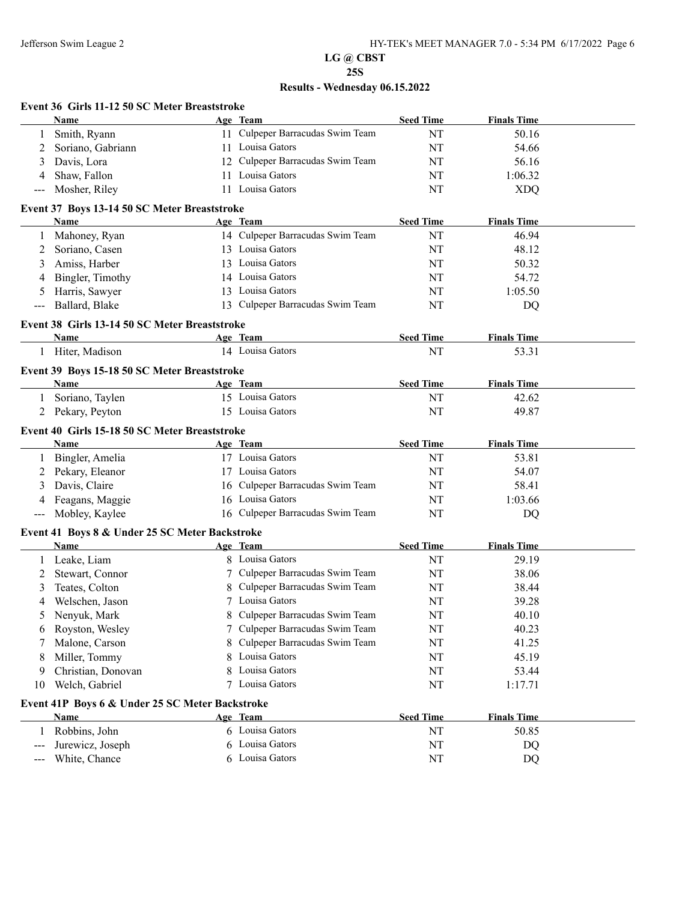# **LG @ CBST**

# **25S**

|       | Event 36 Girls 11-12 50 SC Meter Breaststroke   |    |                                  |                  |                    |  |
|-------|-------------------------------------------------|----|----------------------------------|------------------|--------------------|--|
|       | Name                                            |    | Age Team                         | <b>Seed Time</b> | <b>Finals Time</b> |  |
|       | Smith, Ryann                                    |    | 11 Culpeper Barracudas Swim Team | NT               | 50.16              |  |
| 2     | Soriano, Gabriann                               |    | 11 Louisa Gators                 | NT               | 54.66              |  |
| 3     | Davis, Lora                                     | 12 | Culpeper Barracudas Swim Team    | NT               | 56.16              |  |
| 4     | Shaw, Fallon                                    | 11 | Louisa Gators                    | NT               | 1:06.32            |  |
| $---$ | Mosher, Riley                                   |    | 11 Louisa Gators                 | NT               | <b>XDQ</b>         |  |
|       | Event 37 Boys 13-14 50 SC Meter Breaststroke    |    |                                  |                  |                    |  |
|       | Name                                            |    | Age Team                         | <b>Seed Time</b> | <b>Finals Time</b> |  |
|       | Mahoney, Ryan                                   |    | 14 Culpeper Barracudas Swim Team | NT               | 46.94              |  |
| 1     |                                                 |    | 13 Louisa Gators                 | NT               |                    |  |
| 2     | Soriano, Casen                                  |    |                                  |                  | 48.12              |  |
| 3     | Amiss, Harber                                   |    | 13 Louisa Gators                 | NT               | 50.32              |  |
| 4     | Bingler, Timothy                                |    | 14 Louisa Gators                 | NT               | 54.72              |  |
| 5     | Harris, Sawyer                                  |    | 13 Louisa Gators                 | NT               | 1:05.50            |  |
|       | Ballard, Blake                                  |    | 13 Culpeper Barracudas Swim Team | NT               | DQ                 |  |
|       | Event 38 Girls 13-14 50 SC Meter Breaststroke   |    |                                  |                  |                    |  |
|       | Name                                            |    | Age Team                         | <b>Seed Time</b> | <b>Finals Time</b> |  |
| 1     | Hiter, Madison                                  |    | 14 Louisa Gators                 | NT               | 53.31              |  |
|       | Event 39 Boys 15-18 50 SC Meter Breaststroke    |    |                                  |                  |                    |  |
|       | Name                                            |    | Age Team                         | <b>Seed Time</b> | <b>Finals Time</b> |  |
|       | 1 Soriano, Taylen                               |    | 15 Louisa Gators                 | NT               | 42.62              |  |
| 2     | Pekary, Peyton                                  |    | 15 Louisa Gators                 | NT               | 49.87              |  |
|       |                                                 |    |                                  |                  |                    |  |
|       | Event 40 Girls 15-18 50 SC Meter Breaststroke   |    |                                  |                  |                    |  |
|       | <b>Name</b>                                     |    | Age Team                         | <b>Seed Time</b> | <b>Finals Time</b> |  |
| 1     | Bingler, Amelia                                 |    | 17 Louisa Gators                 | NT               | 53.81              |  |
| 2     | Pekary, Eleanor                                 |    | 17 Louisa Gators                 | NT               | 54.07              |  |
| 3     | Davis, Claire                                   |    | 16 Culpeper Barracudas Swim Team | NT               | 58.41              |  |
| 4     | Feagans, Maggie                                 |    | 16 Louisa Gators                 | NT               | 1:03.66            |  |
| $---$ | Mobley, Kaylee                                  |    | 16 Culpeper Barracudas Swim Team | NT               | DQ                 |  |
|       | Event 41 Boys 8 & Under 25 SC Meter Backstroke  |    |                                  |                  |                    |  |
|       | Name                                            |    | Age Team                         | <b>Seed Time</b> | <b>Finals Time</b> |  |
| 1     | Leake, Liam                                     |    | 8 Louisa Gators                  | NT               | 29.19              |  |
| 2     | Stewart, Connor                                 |    | 7 Culpeper Barracudas Swim Team  | NT               | 38.06              |  |
| 3     | Teates, Colton                                  | 8  | Culpeper Barracudas Swim Team    | NT               | 38.44              |  |
| 4     | Welschen, Jason                                 |    | 7 Louisa Gators                  | NT               | 39.28              |  |
| 5     | Nenyuk, Mark                                    | 8  | Culpeper Barracudas Swim Team    | NT               | 40.10              |  |
| 6     | Royston, Wesley                                 | 7  | Culpeper Barracudas Swim Team    | NT               | 40.23              |  |
|       | Malone, Carson                                  | 8  | Culpeper Barracudas Swim Team    | NT               | 41.25              |  |
|       | Miller, Tommy                                   | 8  | Louisa Gators                    |                  | 45.19              |  |
| 8     |                                                 |    |                                  | NT               |                    |  |
| 9     | Christian, Donovan                              | 8  | Louisa Gators<br>Louisa Gators   | NT               | 53.44              |  |
| 10    | Welch, Gabriel                                  | 7  |                                  | NT               | 1:17.71            |  |
|       | Event 41P Boys 6 & Under 25 SC Meter Backstroke |    |                                  |                  |                    |  |
|       | <b>Name</b>                                     |    | Age Team                         | <b>Seed Time</b> | <b>Finals Time</b> |  |
| 1     | Robbins, John                                   |    | 6 Louisa Gators                  | NT               | 50.85              |  |
|       | Jurewicz, Joseph                                | 6  | Louisa Gators                    | NT               | DQ                 |  |
| ---   | White, Chance                                   |    | 6 Louisa Gators                  | NT               | DQ                 |  |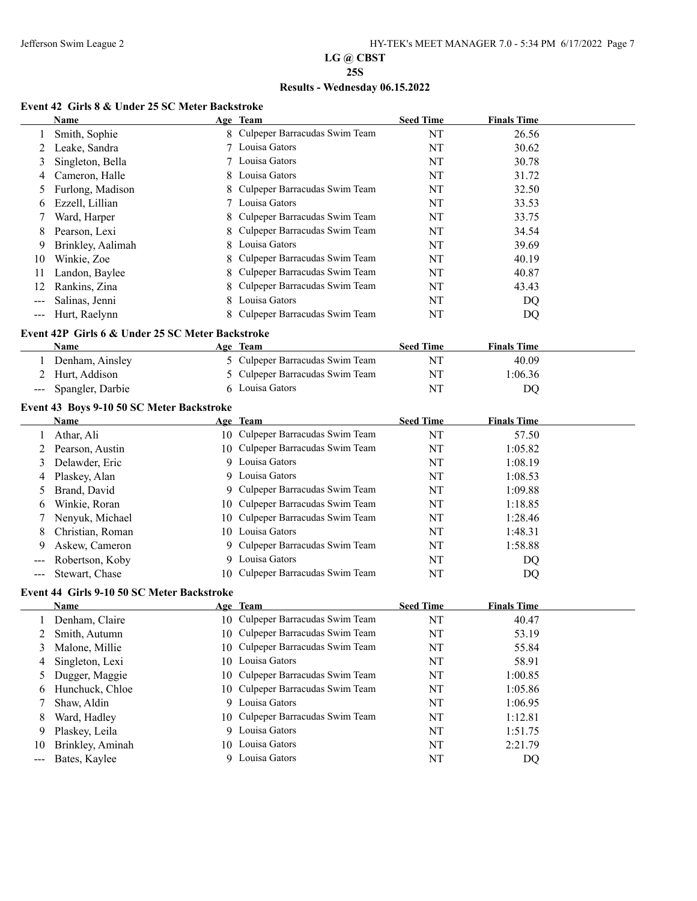## **Results - Wednesday 06.15.2022**

#### **Event 42 Girls 8 & Under 25 SC Meter Backstroke**

|                                        | Name                                                     |    | Age Team                                            | <b>Seed Time</b> | <b>Finals Time</b> |  |
|----------------------------------------|----------------------------------------------------------|----|-----------------------------------------------------|------------------|--------------------|--|
| 1                                      | Smith, Sophie                                            |    | 8 Culpeper Barracudas Swim Team                     | NT               | 26.56              |  |
| 2                                      | Leake, Sandra                                            | 7  | Louisa Gators                                       | NT               | 30.62              |  |
| 3                                      | Singleton, Bella                                         |    | Louisa Gators                                       | NT               | 30.78              |  |
| 4                                      | Cameron, Halle                                           | 8  | Louisa Gators                                       | NT               | 31.72              |  |
| 5                                      | Furlong, Madison                                         |    | Culpeper Barracudas Swim Team                       | NT               | 32.50              |  |
| 6                                      | Ezzell, Lillian                                          | 7  | Louisa Gators                                       | NT               | 33.53              |  |
| 7                                      | Ward, Harper                                             | 8  | Culpeper Barracudas Swim Team                       | NT               | 33.75              |  |
| 8                                      | Pearson, Lexi                                            |    | Culpeper Barracudas Swim Team                       | NT               | 34.54              |  |
| 9                                      | Brinkley, Aalimah                                        | 8  | Louisa Gators                                       | NT               | 39.69              |  |
| 10                                     | Winkie, Zoe                                              |    | Culpeper Barracudas Swim Team                       | NT               | 40.19              |  |
| 11                                     | Landon, Baylee                                           |    | Culpeper Barracudas Swim Team                       | NT               | 40.87              |  |
| 12                                     | Rankins, Zina                                            |    | Culpeper Barracudas Swim Team                       | NT               | 43.43              |  |
| $---$                                  | Salinas, Jenni                                           |    | Louisa Gators                                       | NT               | DQ                 |  |
| $---$                                  | Hurt, Raelynn                                            |    | Culpeper Barracudas Swim Team                       | NT               | DQ                 |  |
|                                        | Event 42P Girls 6 & Under 25 SC Meter Backstroke         |    |                                                     |                  |                    |  |
|                                        | Name                                                     |    | Age Team                                            | <b>Seed Time</b> | <b>Finals Time</b> |  |
| 1                                      | Denham, Ainsley                                          |    | 5 Culpeper Barracudas Swim Team                     | NT               | 40.09              |  |
| 2                                      | Hurt, Addison                                            |    | 5 Culpeper Barracudas Swim Team                     | NT               | 1:06.36            |  |
| ---                                    | Spangler, Darbie                                         |    | 6 Louisa Gators                                     | NT               | DQ                 |  |
|                                        |                                                          |    |                                                     |                  |                    |  |
|                                        | Event 43 Boys 9-10 50 SC Meter Backstroke<br><b>Name</b> |    | Age Team                                            | <b>Seed Time</b> | <b>Finals Time</b> |  |
| 1                                      | Athar, Ali                                               |    | 10 Culpeper Barracudas Swim Team                    | NT               | 57.50              |  |
| 2                                      | Pearson, Austin                                          |    | 10 Culpeper Barracudas Swim Team                    | NT               | 1:05.82            |  |
| 3                                      | Delawder, Eric                                           | 9. | Louisa Gators                                       | NT               | 1:08.19            |  |
| 4                                      | Plaskey, Alan                                            | 9  | Louisa Gators                                       | NT               | 1:08.53            |  |
| 5                                      | Brand, David                                             | 9  | Culpeper Barracudas Swim Team                       | NT               | 1:09.88            |  |
| 6                                      | Winkie, Roran                                            | 10 | Culpeper Barracudas Swim Team                       | NT               | 1:18.85            |  |
| 7                                      | Nenyuk, Michael                                          | 10 | Culpeper Barracudas Swim Team                       | NT               | 1:28.46            |  |
| 8                                      | Christian, Roman                                         |    | 10 Louisa Gators                                    | NT               | 1:48.31            |  |
| 9                                      | Askew, Cameron                                           | 9. | Culpeper Barracudas Swim Team                       | NT               | 1:58.88            |  |
| ---                                    | Robertson, Koby                                          |    | 9 Louisa Gators                                     | NT               | DQ                 |  |
| $---$                                  | Stewart, Chase                                           |    | 10 Culpeper Barracudas Swim Team                    | NT               | DQ                 |  |
|                                        |                                                          |    |                                                     |                  |                    |  |
|                                        | Event 44 Girls 9-10 50 SC Meter Backstroke               |    |                                                     |                  |                    |  |
|                                        | Name                                                     |    | Age Team<br>10 Culpeper Barracudas Swim Team        | <b>Seed Time</b> | <b>Finals Time</b> |  |
|                                        | 1 Denham, Claire                                         |    | 10 Culpeper Barracudas Swim Team                    | NT               | 40.47              |  |
| 2                                      | Smith, Autumn<br>Malone, Millie                          |    | 10 Culpeper Barracudas Swim Team                    | NT               | 53.19              |  |
| 3                                      |                                                          |    | 10 Louisa Gators                                    | NT               | 55.84              |  |
| 4                                      | Singleton, Lexi                                          |    | Culpeper Barracudas Swim Team                       | NT               | 58.91              |  |
| 5                                      | Dugger, Maggie                                           | 10 |                                                     | NT               | 1:00.85            |  |
| 6                                      | Hunchuck, Chloe                                          |    | 10 Culpeper Barracudas Swim Team<br>9 Louisa Gators | NT               | 1:05.86            |  |
| 7                                      | Shaw, Aldin                                              |    |                                                     | NT               | 1:06.95            |  |
| 8                                      | Ward, Hadley                                             | 10 | Culpeper Barracudas Swim Team                       | NT               | 1:12.81            |  |
| 9                                      | Plaskey, Leila                                           |    | 9 Louisa Gators                                     | NT               | 1:51.75            |  |
| 10                                     | Brinkley, Aminah                                         | 10 | Louisa Gators                                       | NT               | 2:21.79            |  |
| $\scriptstyle\cdots\scriptstyle\cdots$ | Bates, Kaylee                                            |    | 9 Louisa Gators                                     | $\rm{NT}$        | DQ                 |  |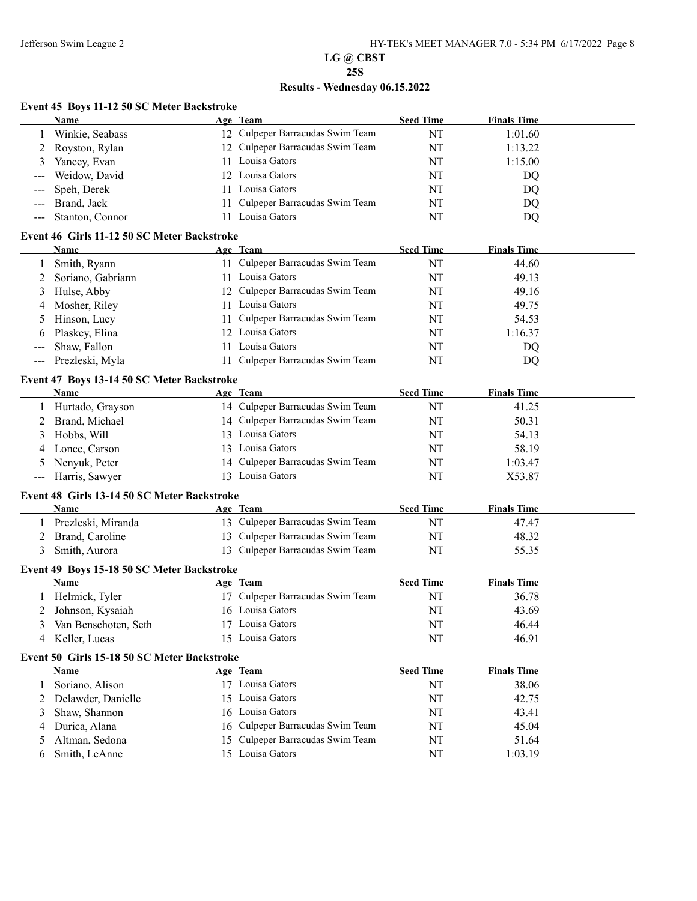# **LG @ CBST**

## **25S**

# **Results - Wednesday 06.15.2022**

# **Event 45 Boys 11-12 50 SC Meter Backstroke**<br>Name Age Team

|       | <b>Name</b>                                         |     | Age Team                         | <b>Seed Time</b> | <b>Finals Time</b> |  |
|-------|-----------------------------------------------------|-----|----------------------------------|------------------|--------------------|--|
|       | Winkie, Seabass                                     |     | 12 Culpeper Barracudas Swim Team | NT               | 1:01.60            |  |
| 2     | Royston, Rylan                                      |     | 12 Culpeper Barracudas Swim Team | NT               | 1:13.22            |  |
| 3     | Yancey, Evan                                        |     | 11 Louisa Gators                 | NT               | 1:15.00            |  |
|       | Weidow, David                                       | 12  | Louisa Gators                    | NT               | DQ                 |  |
|       | Speh, Derek                                         | 11  | Louisa Gators                    | NT               | DQ                 |  |
|       | Brand, Jack                                         | 11  | Culpeper Barracudas Swim Team    | NT               | DQ                 |  |
| $---$ | Stanton, Connor                                     |     | 11 Louisa Gators                 | NT               | DQ                 |  |
|       | Event 46 Girls 11-12 50 SC Meter Backstroke         |     |                                  |                  |                    |  |
|       | Name                                                |     | Age Team                         | <b>Seed Time</b> | <b>Finals Time</b> |  |
| 1     | Smith, Ryann                                        |     | 11 Culpeper Barracudas Swim Team | NT               | 44.60              |  |
| 2     | Soriano, Gabriann                                   |     | 11 Louisa Gators                 | NT               | 49.13              |  |
| 3     | Hulse, Abby                                         |     | 12 Culpeper Barracudas Swim Team | NT               | 49.16              |  |
| 4     | Mosher, Riley                                       |     | 11 Louisa Gators                 | NT               | 49.75              |  |
|       | Hinson, Lucy                                        | 11. | Culpeper Barracudas Swim Team    | NT               | 54.53              |  |
|       | Plaskey, Elina                                      |     | 12 Louisa Gators                 | NT               | 1:16.37            |  |
|       | Shaw, Fallon                                        |     | 11 Louisa Gators                 | NT               | DQ                 |  |
|       | Prezleski, Myla                                     | 11  | Culpeper Barracudas Swim Team    | NT               | DQ                 |  |
|       | Event 47 Boys 13-14 50 SC Meter Backstroke          |     |                                  |                  |                    |  |
|       | Name                                                |     | Age Team                         | <b>Seed Time</b> | <b>Finals Time</b> |  |
|       | Hurtado, Grayson                                    |     | 14 Culpeper Barracudas Swim Team | NT               | 41.25              |  |
| 2     | Brand, Michael                                      |     | 14 Culpeper Barracudas Swim Team | NT               | 50.31              |  |
| 3     | Hobbs, Will                                         |     | 13 Louisa Gators                 | NT               | 54.13              |  |
|       | Lonce, Carson                                       |     | 13 Louisa Gators                 | NT               | 58.19              |  |
|       | Nenyuk, Peter                                       |     | 14 Culpeper Barracudas Swim Team | NT               | 1:03.47            |  |
| ---   | Harris, Sawyer                                      |     | 13 Louisa Gators                 | NT               | X53.87             |  |
|       |                                                     |     |                                  |                  |                    |  |
|       | Event 48 Girls 13-14 50 SC Meter Backstroke<br>Name |     | Age Team                         | <b>Seed Time</b> | <b>Finals Time</b> |  |
|       | 1 Prezleski, Miranda                                |     | 13 Culpeper Barracudas Swim Team | NT               | 47.47              |  |
| 2     | Brand, Caroline                                     |     | 13 Culpeper Barracudas Swim Team | NT               | 48.32              |  |
| 3     | Smith, Aurora                                       |     | 13 Culpeper Barracudas Swim Team | NT               | 55.35              |  |
|       |                                                     |     |                                  |                  |                    |  |
|       | Event 49 Boys 15-18 50 SC Meter Backstroke          |     |                                  |                  |                    |  |
|       | Name                                                |     | Age Team                         | <b>Seed Time</b> | <b>Finals Time</b> |  |
|       | Helmick, Tyler                                      |     | 17 Culpeper Barracudas Swim Team | NT               | 36.78              |  |
|       | Johnson, Kysaiah                                    |     | 16 Louisa Gators                 | NT               | 43.69              |  |
|       | 3 Van Benschoten, Seth                              |     | 17 Louisa Gators                 | $\rm{NT}$        | 46.44              |  |
|       | 4 Keller, Lucas                                     |     | 15 Louisa Gators                 | NT               | 46.91              |  |
|       | Event 50 Girls 15-18 50 SC Meter Backstroke         |     |                                  |                  |                    |  |
|       | Name                                                |     | Age Team                         | <b>Seed Time</b> | <b>Finals Time</b> |  |
| 1     | Soriano, Alison                                     |     | 17 Louisa Gators                 | NT               | 38.06              |  |
| 2     | Delawder, Danielle                                  |     | 15 Louisa Gators                 | NT               | 42.75              |  |
| 3     | Shaw, Shannon                                       |     | 16 Louisa Gators                 | NT               | 43.41              |  |
| 4     | Durica, Alana                                       |     | 16 Culpeper Barracudas Swim Team | NT               | 45.04              |  |
| 5     | Altman, Sedona                                      |     | 15 Culpeper Barracudas Swim Team | NT               | 51.64              |  |
| 6     | Smith, LeAnne                                       |     | 15 Louisa Gators                 | NT               | 1:03.19            |  |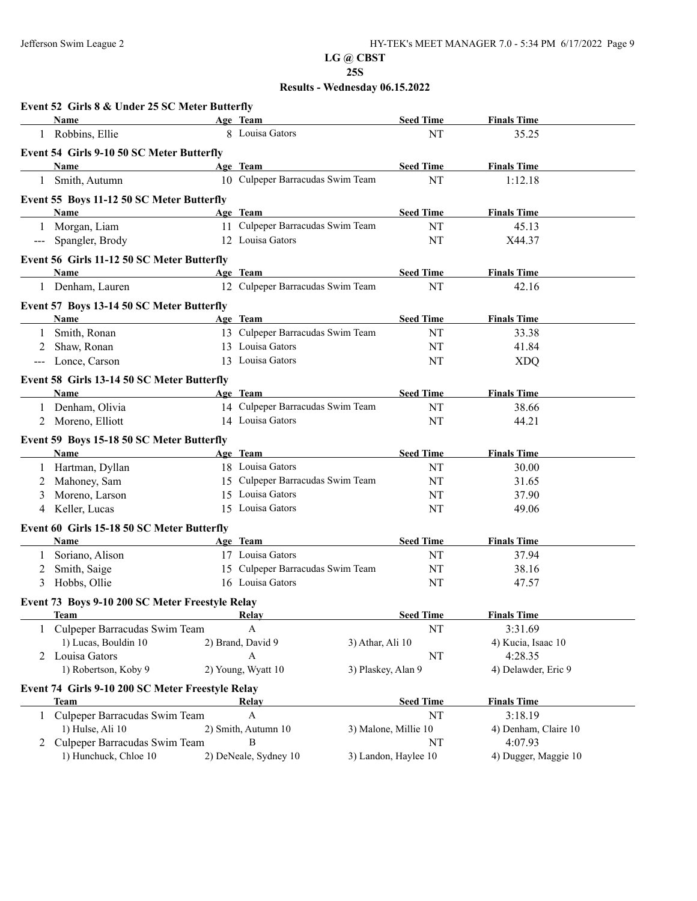|                            | Name                                             | Age Team                         |                      | <b>Seed Time</b>     | <b>Finals Time</b>   |
|----------------------------|--------------------------------------------------|----------------------------------|----------------------|----------------------|----------------------|
|                            | 1 Robbins, Ellie                                 | 8 Louisa Gators                  |                      | NT                   | 35.25                |
|                            | Event 54 Girls 9-10 50 SC Meter Butterfly        |                                  |                      |                      |                      |
|                            | Name                                             | Age Team                         |                      | <b>Seed Time</b>     | <b>Finals Time</b>   |
| 1                          | Smith, Autumn                                    | 10 Culpeper Barracudas Swim Team |                      | NT                   | 1:12.18              |
|                            | Event 55 Boys 11-12 50 SC Meter Butterfly        |                                  |                      |                      |                      |
|                            | Name                                             | Age Team                         |                      | <b>Seed Time</b>     | <b>Finals Time</b>   |
| 1                          | Morgan, Liam                                     | 11 Culpeper Barracudas Swim Team |                      | NT                   | 45.13                |
| $\qquad \qquad - \qquad -$ | Spangler, Brody                                  | 12 Louisa Gators                 |                      | NT                   | X44.37               |
|                            | Event 56 Girls 11-12 50 SC Meter Butterfly       |                                  |                      |                      |                      |
|                            | Name                                             | Age Team                         |                      | <b>Seed Time</b>     | <b>Finals Time</b>   |
|                            | 1 Denham, Lauren                                 | 12 Culpeper Barracudas Swim Team |                      | NT                   | 42.16                |
|                            | Event 57 Boys 13-14 50 SC Meter Butterfly        |                                  |                      |                      |                      |
|                            | Name                                             | Age Team                         |                      | <b>Seed Time</b>     | <b>Finals Time</b>   |
| $\mathbf{1}$               | Smith, Ronan                                     | 13 Culpeper Barracudas Swim Team |                      | NT                   | 33.38                |
| 2                          | Shaw, Ronan                                      | 13 Louisa Gators                 |                      | NT                   | 41.84                |
|                            | Lonce, Carson                                    | 13 Louisa Gators                 |                      | NT                   | <b>XDQ</b>           |
|                            | Event 58 Girls 13-14 50 SC Meter Butterfly       |                                  |                      |                      |                      |
|                            | Name                                             | Age Team                         |                      | <b>Seed Time</b>     | <b>Finals Time</b>   |
|                            | 1 Denham, Olivia                                 | 14 Culpeper Barracudas Swim Team |                      | NT                   | 38.66                |
|                            | 2 Moreno, Elliott                                | 14 Louisa Gators                 |                      | NT                   | 44.21                |
|                            | Event 59 Boys 15-18 50 SC Meter Butterfly        |                                  |                      |                      |                      |
|                            | Name                                             | Age Team                         |                      | <b>Seed Time</b>     | <b>Finals Time</b>   |
|                            | 1 Hartman, Dyllan                                | 18 Louisa Gators                 |                      | NT                   | 30.00                |
| 2                          | Mahoney, Sam                                     | 15 Culpeper Barracudas Swim Team |                      | NT                   | 31.65                |
| 3                          | Moreno, Larson                                   | 15 Louisa Gators                 |                      | NT                   | 37.90                |
| 4                          | Keller, Lucas                                    | 15 Louisa Gators                 |                      | NT                   | 49.06                |
|                            | Event 60 Girls 15-18 50 SC Meter Butterfly       |                                  |                      |                      |                      |
|                            | <b>Name</b>                                      | Age Team                         |                      | <b>Seed Time</b>     | <b>Finals Time</b>   |
| 1                          | Soriano, Alison                                  | 17 Louisa Gators                 |                      | NT                   | 37.94                |
| 2                          | Smith, Saige                                     | 15 Culpeper Barracudas Swim Team |                      | NT                   | 38.16                |
| 3                          | Hobbs, Ollie                                     | 16 Louisa Gators                 |                      | NT                   | 47.57                |
|                            | Event 73 Boys 9-10 200 SC Meter Freestyle Relay  |                                  |                      |                      |                      |
|                            | Team                                             | <u>Kelay</u>                     |                      | <b>Seed Time</b>     | <b>Finals Time</b>   |
|                            | Culpeper Barracudas Swim Team                    | A                                |                      | NT                   | 3:31.69              |
|                            | 1) Lucas, Bouldin 10                             | 2) Brand, David 9                | 3) Athar, Ali 10     |                      | 4) Kucia, Isaac 10   |
|                            | 2 Louisa Gators                                  | A                                |                      | NT                   | 4:28.35              |
|                            | 1) Robertson, Koby 9                             | 2) Young, Wyatt 10               | 3) Plaskey, Alan 9   |                      | 4) Delawder, Eric 9  |
|                            | Event 74 Girls 9-10 200 SC Meter Freestyle Relay |                                  |                      |                      |                      |
|                            | <b>Team</b>                                      | Relay                            |                      | <b>Seed Time</b>     | <b>Finals Time</b>   |
| 1                          | Culpeper Barracudas Swim Team                    | $\mathbf{A}$                     |                      | NT                   | 3:18.19              |
|                            | 1) Hulse, Ali 10                                 | 2) Smith, Autumn 10              | 3) Malone, Millie 10 |                      | 4) Denham, Claire 10 |
|                            | Culpeper Barracudas Swim Team                    | B                                |                      | NT                   | 4:07.93              |
|                            | 1) Hunchuck, Chloe 10                            | 2) DeNeale, Sydney 10            |                      | 3) Landon, Haylee 10 | 4) Dugger, Maggie 10 |